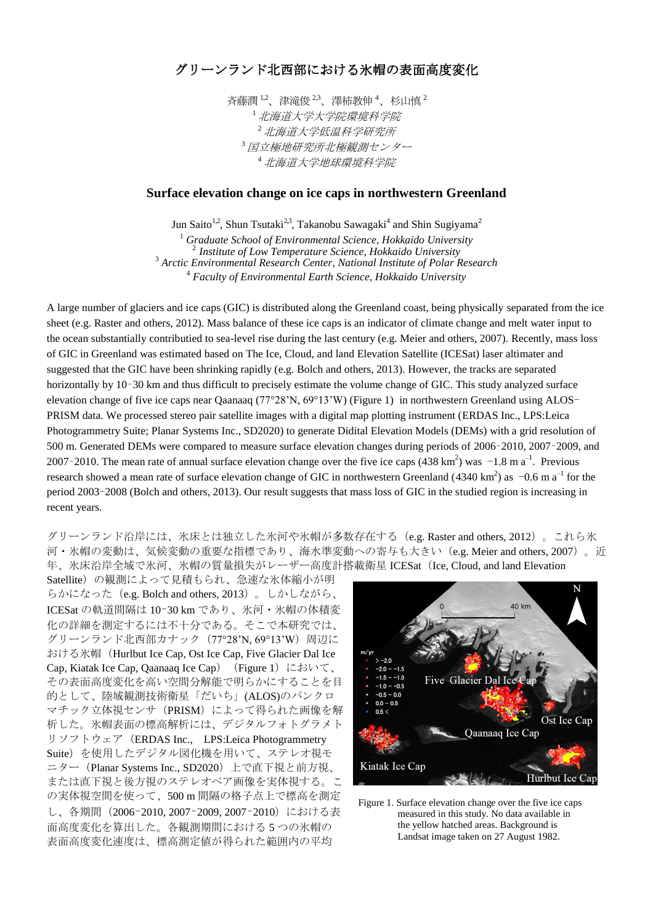## グリーンランド北西部における氷帽の表面高度変化

斉藤潤 $1.2$ 、津滝俊 $2.3$ 、澤柿教伸 $4$ 、杉山慎 $2$ <sup>1</sup>北海道大学大学院環境科学院 <sup>2</sup>北海道大学低温科学研究所 3 国立極地研究所北極観測センター <sup>4</sup>北海道大学地球環境科学院

## **Surface elevation change on ice caps in northwestern Greenland**

Jun Saito<sup>1,2</sup>, Shun Tsutaki<sup>2,3</sup>, Takanobu Sawagaki<sup>4</sup> and Shin Sugiyama<sup>2</sup>

<sup>1</sup> *Graduate School of Environmental Science, Hokkaido University* 2 *Institute of Low Temperature Science, Hokkaido University* <sup>3</sup> *Arctic Environmental Research Center, National Institute of Polar Research* 4 *Faculty of Environmental Earth Science, Hokkaido University*

A large number of glaciers and ice caps (GIC) is distributed along the Greenland coast, being physically separated from the ice sheet (e.g. Raster and others, 2012). Mass balance of these ice caps is an indicator of climate change and melt water input to the ocean substantially contributied to sea-level rise during the last century (e.g. Meier and others, 2007). Recently, mass loss of GIC in Greenland was estimated based on The Ice, Cloud, and land Elevation Satellite (ICESat) laser altimater and suggested that the GIC have been shrinking rapidly (e.g. Bolch and others, 2013). However, the tracks are separated horizontally by 10–30 km and thus difficult to precisely estimate the volume change of GIC. This study analyzed surface elevation change of five ice caps near Qaanaaq (77°28'N, 69°13'W) (Figure 1) in northwestern Greenland using ALOS-PRISM data. We processed stereo pair satellite images with a digital map plotting instrument (ERDAS Inc., LPS:Leica Photogrammetry Suite; Planar Systems Inc., SD2020) to generate Didital Elevation Models (DEMs) with a grid resolution of 500 m. Generated DEMs were compared to measure surface elevation changes during periods of 2006–2010, 2007–2009, and 2007–2010. The mean rate of annual surface elevation change over the five ice caps (438 km<sup>2</sup>) was  $-1.8$  m a<sup>-1</sup>. Previous research showed a mean rate of surface elevation change of GIC in northwestern Greenland (4340 km<sup>2</sup>) as  $-0.6$  m a<sup>-1</sup> for the period 2003-2008 (Bolch and others, 2013). Our result suggests that mass loss of GIC in the studied region is increasing in recent years.

グリーンランド沿岸には、氷床とは独立した氷河や氷帽が多数存在する (e.g. Raster and others, 2012)。これら氷 河・氷帽の変動は、気候変動の重要な指標であり、海水準変動への寄与も大きい(e.g. Meier and others, 2007)。近 年、氷床沿岸全域で氷河、氷帽の質量損失がレーザー高度計搭載衛星 ICESat(Ice, Cloud, and land Elevation

Satellite)の観測によって見積もられ、急速な氷体縮小が明 らかになった(e.g. Bolch and others, 2013)。しかしながら、 ICESat の軌道間隔は 10–30 km であり、氷河・氷帽の体積変 化の詳細を測定するには不十分である。そこで本研究では、 グリーンランド北西部カナック (77°28'N, 69°13'W) 周辺に おける氷帽 (Hurlbut Ice Cap, Ost Ice Cap, Five Glacier Dal Ice Cap, Kiatak Ice Cap, Qaanaaq Ice Cap) (Figure 1) において、 その表面高度変化を高い空間分解能で明らかにすることを目 的として、陸域観測技術衛星「だいち」(ALOS)のパンクロ マチック立体視センサ (PRISM)によって得られた画像を解 析した。氷帽表面の標高解析には、デジタルフォトグラメト リソフトウェア(ERDAS Inc., LPS:Leica Photogrammetry Suite)を使用したデジタル図化機を用いて、ステレオ視モ ニター (Planar Systems Inc., SD2020) 上で直下視と前方視、 または直下視と後方視のステレオペア画像を実体視する。こ の実体視空間を使って、500 m 間隔の格子点上で標高を測定 し、各期間(2006–2010, 2007–2009, 2007–2010)における表 面高度変化を算出した。各観測期間における 5 つの氷帽の 表面高度変化速度は、標高測定値が得られた範囲内の平均



Figure 1. Surface elevation change over the five ice caps measured in this study. No data available in the yellow hatched areas. Background is Landsat image taken on 27 August 1982.